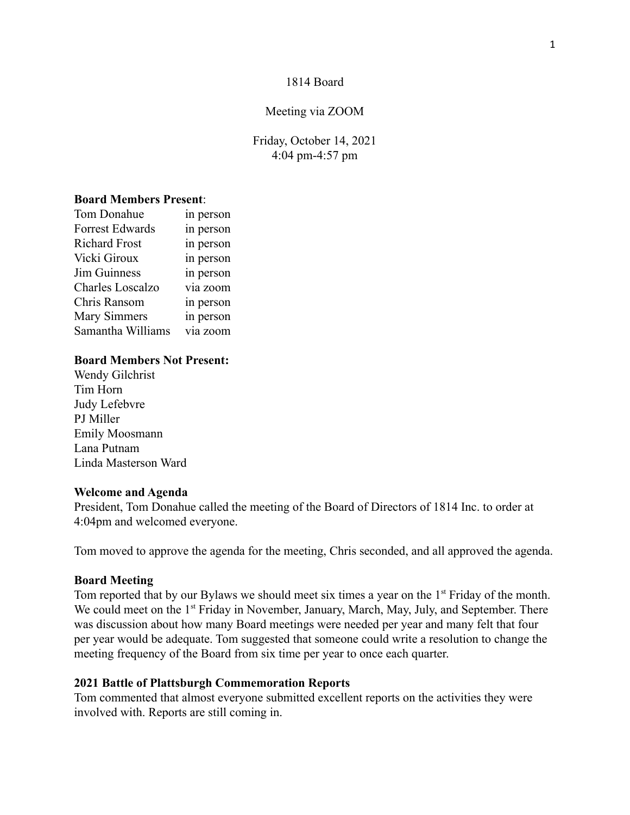### 1814 Board

#### Meeting via ZOOM

Friday, October 14, 2021 4:04 pm-4:57 pm

# **Board Members Present**:

| Tom Donahue            | in person |
|------------------------|-----------|
| <b>Forrest Edwards</b> | in person |
| <b>Richard Frost</b>   | in person |
| Vicki Giroux           | in person |
| <b>Jim Guinness</b>    | in person |
| Charles Loscalzo       | via zoom  |
| Chris Ransom           | in person |
| <b>Mary Simmers</b>    | in person |
| Samantha Williams      | via zoom  |

### **Board Members Not Present:**

Wendy Gilchrist Tim Horn Judy Lefebvre PJ Miller Emily Moosmann Lana Putnam Linda Masterson Ward

#### **Welcome and Agenda**

President, Tom Donahue called the meeting of the Board of Directors of 1814 Inc. to order at 4:04pm and welcomed everyone.

Tom moved to approve the agenda for the meeting, Chris seconded, and all approved the agenda.

#### **Board Meeting**

Tom reported that by our Bylaws we should meet six times a year on the 1<sup>st</sup> Friday of the month. We could meet on the 1<sup>st</sup> Friday in November, January, March, May, July, and September. There was discussion about how many Board meetings were needed per year and many felt that four per year would be adequate. Tom suggested that someone could write a resolution to change the meeting frequency of the Board from six time per year to once each quarter.

#### **2021 Battle of Plattsburgh Commemoration Reports**

Tom commented that almost everyone submitted excellent reports on the activities they were involved with. Reports are still coming in.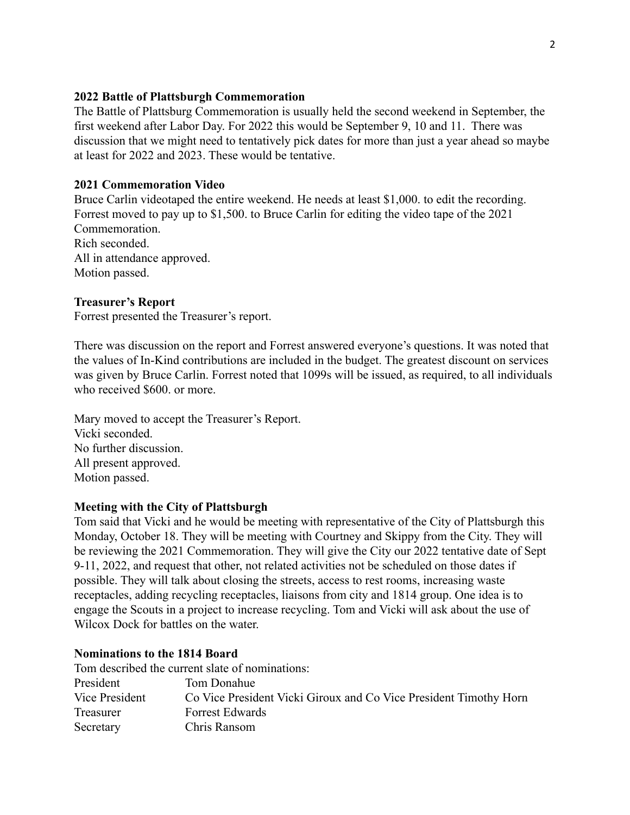# **2022 Battle of Plattsburgh Commemoration**

The Battle of Plattsburg Commemoration is usually held the second weekend in September, the first weekend after Labor Day. For 2022 this would be September 9, 10 and 11. There was discussion that we might need to tentatively pick dates for more than just a year ahead so maybe at least for 2022 and 2023. These would be tentative.

## **2021 Commemoration Video**

Bruce Carlin videotaped the entire weekend. He needs at least \$1,000. to edit the recording. Forrest moved to pay up to \$1,500. to Bruce Carlin for editing the video tape of the 2021 Commemoration. Rich seconded. All in attendance approved. Motion passed.

# **Treasurer's Report**

Forrest presented the Treasurer's report.

There was discussion on the report and Forrest answered everyone's questions. It was noted that the values of In-Kind contributions are included in the budget. The greatest discount on services was given by Bruce Carlin. Forrest noted that 1099s will be issued, as required, to all individuals who received \$600. or more.

Mary moved to accept the Treasurer's Report. Vicki seconded. No further discussion. All present approved. Motion passed.

## **Meeting with the City of Plattsburgh**

Tom said that Vicki and he would be meeting with representative of the City of Plattsburgh this Monday, October 18. They will be meeting with Courtney and Skippy from the City. They will be reviewing the 2021 Commemoration. They will give the City our 2022 tentative date of Sept 9-11, 2022, and request that other, not related activities not be scheduled on those dates if possible. They will talk about closing the streets, access to rest rooms, increasing waste receptacles, adding recycling receptacles, liaisons from city and 1814 group. One idea is to engage the Scouts in a project to increase recycling. Tom and Vicki will ask about the use of Wilcox Dock for battles on the water.

### **Nominations to the 1814 Board**

|                | Tom described the current slate of nominations:                   |
|----------------|-------------------------------------------------------------------|
| President      | Tom Donahue                                                       |
| Vice President | Co Vice President Vicki Giroux and Co Vice President Timothy Horn |
| Treasurer      | <b>Forrest Edwards</b>                                            |
| Secretary      | Chris Ransom                                                      |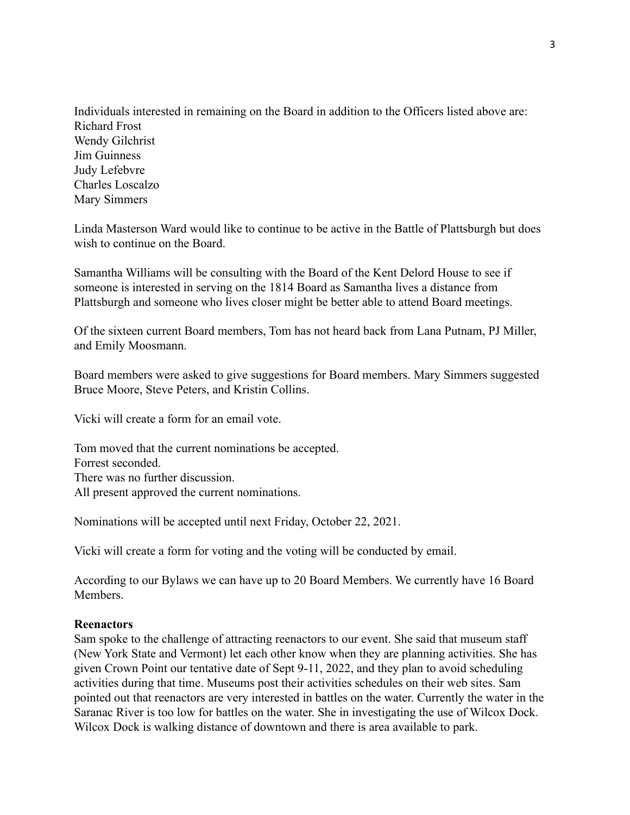Individuals interested in remaining on the Board in addition to the Officers listed above are: Richard Frost Wendy Gilchrist Jim Guinness Judy Lefebvre Charles Loscalzo Mary Simmers

Linda Masterson Ward would like to continue to be active in the Battle of Plattsburgh but does wish to continue on the Board.

Samantha Williams will be consulting with the Board of the Kent Delord House to see if someone is interested in serving on the 1814 Board as Samantha lives a distance from Plattsburgh and someone who lives closer might be better able to attend Board meetings.

Of the sixteen current Board members, Tom has not heard back from Lana Putnam, PJ Miller, and Emily Moosmann.

Board members were asked to give suggestions for Board members. Mary Simmers suggested Bruce Moore, Steve Peters, and Kristin Collins.

Vicki will create a form for an email vote.

Tom moved that the current nominations be accepted. Forrest seconded. There was no further discussion. All present approved the current nominations.

Nominations will be accepted until next Friday, October 22, 2021.

Vicki will create a form for voting and the voting will be conducted by email.

According to our Bylaws we can have up to 20 Board Members. We currently have 16 Board Members.

### **Reenactors**

Sam spoke to the challenge of attracting reenactors to our event. She said that museum staff (New York State and Vermont) let each other know when they are planning activities. She has given Crown Point our tentative date of Sept 9-11, 2022, and they plan to avoid scheduling activities during that time. Museums post their activities schedules on their web sites. Sam pointed out that reenactors are very interested in battles on the water. Currently the water in the Saranac River is too low for battles on the water. She in investigating the use of Wilcox Dock. Wilcox Dock is walking distance of downtown and there is area available to park.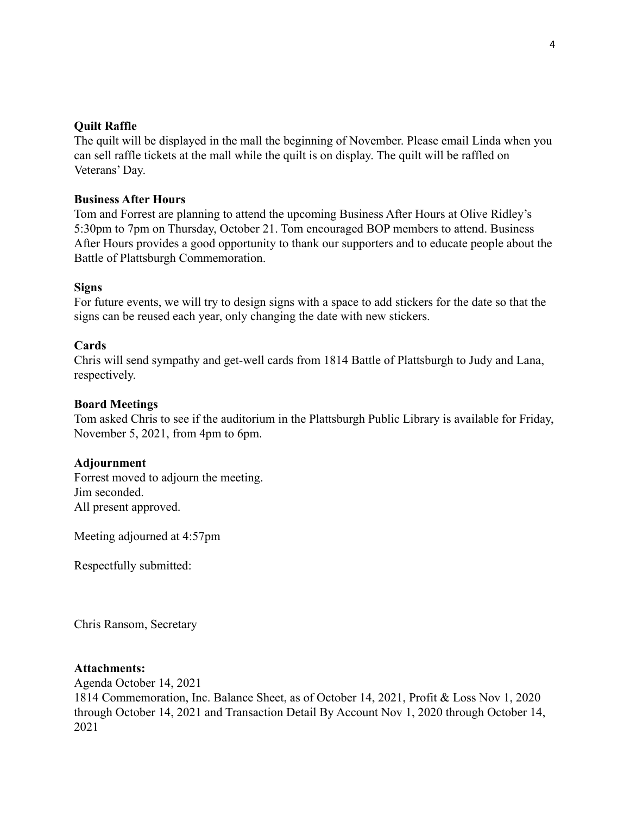# **Quilt Raffle**

The quilt will be displayed in the mall the beginning of November. Please email Linda when you can sell raffle tickets at the mall while the quilt is on display. The quilt will be raffled on Veterans' Day.

# **Business After Hours**

Tom and Forrest are planning to attend the upcoming Business After Hours at Olive Ridley's 5:30pm to 7pm on Thursday, October 21. Tom encouraged BOP members to attend. Business After Hours provides a good opportunity to thank our supporters and to educate people about the Battle of Plattsburgh Commemoration.

## **Signs**

For future events, we will try to design signs with a space to add stickers for the date so that the signs can be reused each year, only changing the date with new stickers.

## **Cards**

Chris will send sympathy and get-well cards from 1814 Battle of Plattsburgh to Judy and Lana, respectively.

## **Board Meetings**

Tom asked Chris to see if the auditorium in the Plattsburgh Public Library is available for Friday, November 5, 2021, from 4pm to 6pm.

### **Adjournment**

Forrest moved to adjourn the meeting. Jim seconded. All present approved.

Meeting adjourned at 4:57pm

Respectfully submitted:

Chris Ransom, Secretary

### **Attachments:**

Agenda October 14, 2021 1814 Commemoration, Inc. Balance Sheet, as of October 14, 2021, Profit & Loss Nov 1, 2020 through October 14, 2021 and Transaction Detail By Account Nov 1, 2020 through October 14, 2021